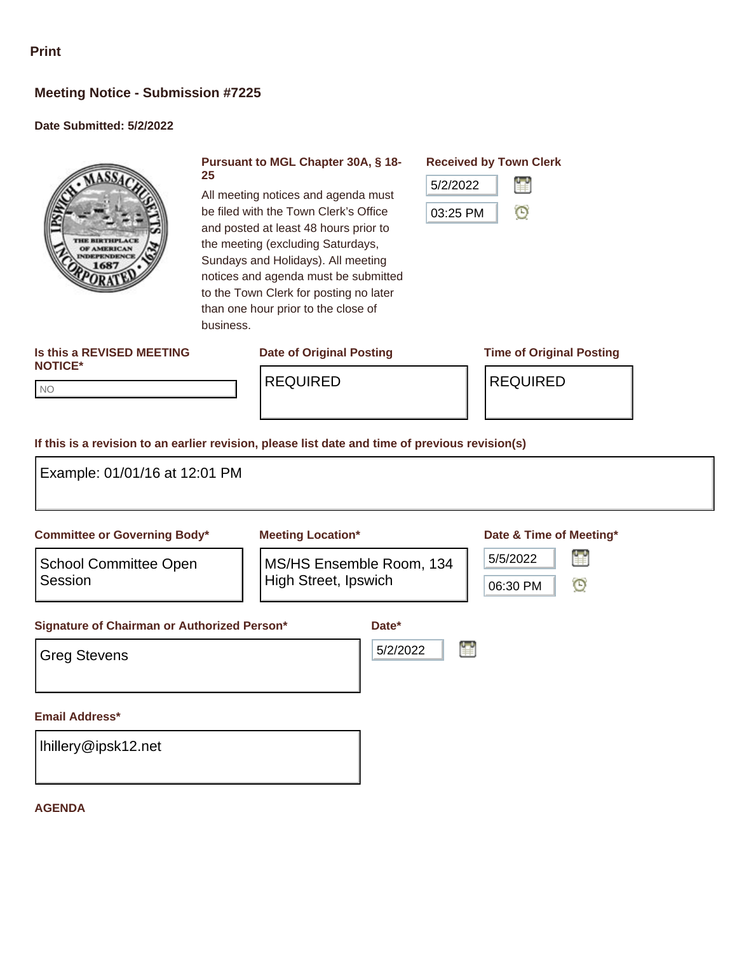# **Meeting Notice - Submission #7225**

### **Date Submitted: 5/2/2022**



#### **Pursuant to MGL Chapter 30A, § 18- 25**

All meeting notices and agenda must be filed with the Town Clerk's Office and posted at least 48 hours prior to the meeting (excluding Saturdays, Sundays and Holidays). All meeting notices and agenda must be submitted to the Town Clerk for posting no later than one hour prior to the close of

**Received by Town Clerk**



#### **Is this a REVISED MEETING NOTICE\***

NO NO

REQUIRED REQUIRED

## **Date of Original Posting Time of Original Posting**

**If this is a revision to an earlier revision, please list date and time of previous revision(s)**

business.

| Example: 01/01/16 at 12:01 PM                                             |                                                         |                   |                                               |
|---------------------------------------------------------------------------|---------------------------------------------------------|-------------------|-----------------------------------------------|
| <b>Committee or Governing Body*</b>                                       | <b>Meeting Location*</b>                                |                   | Date & Time of Meeting*                       |
| <b>School Committee Open</b><br>Session                                   | MS/HS Ensemble Room, 134<br><b>High Street, Ipswich</b> |                   | 讐<br>5/5/2022<br>$\mathbf \Theta$<br>06:30 PM |
| <b>Signature of Chairman or Authorized Person*</b><br><b>Greg Stevens</b> |                                                         | Date*<br>5/2/2022 |                                               |
| <b>Email Address*</b>                                                     |                                                         |                   |                                               |
| Ihillery@ipsk12.net                                                       |                                                         |                   |                                               |

#### **AGENDA**